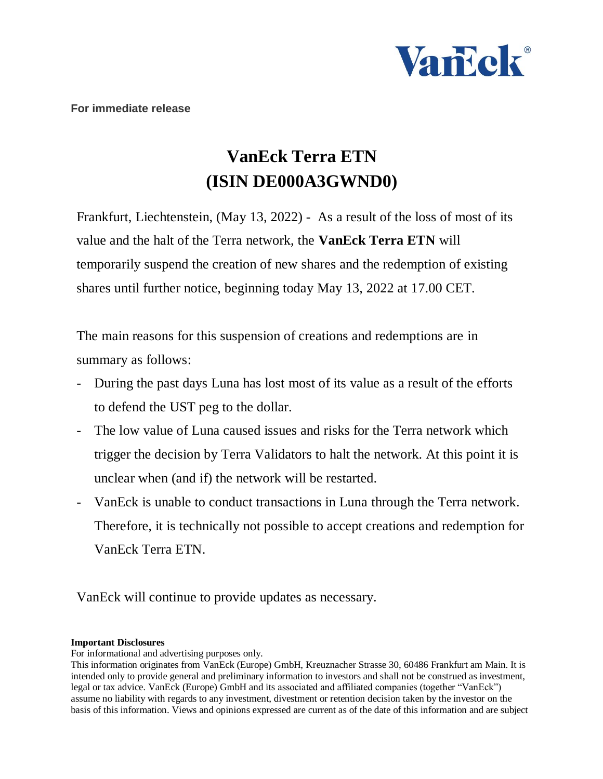

## **VanEck Terra ETN (ISIN DE000A3GWND0)**

Frankfurt, Liechtenstein, (May 13, 2022) - As a result of the loss of most of its value and the halt of the Terra network, the **VanEck Terra ETN** will temporarily suspend the creation of new shares and the redemption of existing shares until further notice, beginning today May 13, 2022 at 17.00 CET.

The main reasons for this suspension of creations and redemptions are in summary as follows:

- During the past days Luna has lost most of its value as a result of the efforts to defend the UST peg to the dollar.
- The low value of Luna caused issues and risks for the Terra network which trigger the decision by Terra Validators to halt the network. At this point it is unclear when (and if) the network will be restarted.
- VanEck is unable to conduct transactions in Luna through the Terra network. Therefore, it is technically not possible to accept creations and redemption for VanEck Terra ETN.

VanEck will continue to provide updates as necessary.

## **Important Disclosures**

For informational and advertising purposes only.

This information originates from VanEck (Europe) GmbH, Kreuznacher Strasse 30, 60486 Frankfurt am Main. It is intended only to provide general and preliminary information to investors and shall not be construed as investment, legal or tax advice. VanEck (Europe) GmbH and its associated and affiliated companies (together "VanEck") assume no liability with regards to any investment, divestment or retention decision taken by the investor on the basis of this information. Views and opinions expressed are current as of the date of this information and are subject